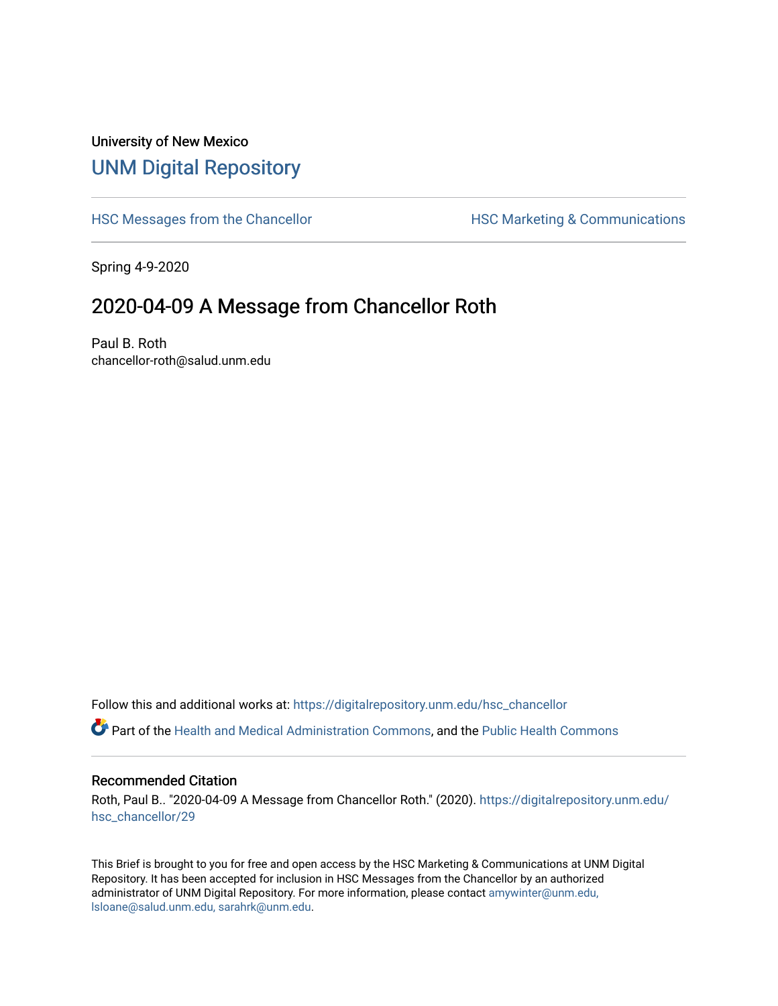## University of New Mexico [UNM Digital Repository](https://digitalrepository.unm.edu/)

[HSC Messages from the Chancellor](https://digitalrepository.unm.edu/hsc_chancellor) **HSC Marketing & Communications** 

Spring 4-9-2020

## 2020-04-09 A Message from Chancellor Roth

Paul B. Roth chancellor-roth@salud.unm.edu

Follow this and additional works at: [https://digitalrepository.unm.edu/hsc\\_chancellor](https://digitalrepository.unm.edu/hsc_chancellor?utm_source=digitalrepository.unm.edu%2Fhsc_chancellor%2F29&utm_medium=PDF&utm_campaign=PDFCoverPages) 

Part of the [Health and Medical Administration Commons](http://network.bepress.com/hgg/discipline/663?utm_source=digitalrepository.unm.edu%2Fhsc_chancellor%2F29&utm_medium=PDF&utm_campaign=PDFCoverPages), and the [Public Health Commons](http://network.bepress.com/hgg/discipline/738?utm_source=digitalrepository.unm.edu%2Fhsc_chancellor%2F29&utm_medium=PDF&utm_campaign=PDFCoverPages) 

## Recommended Citation

Roth, Paul B.. "2020-04-09 A Message from Chancellor Roth." (2020). [https://digitalrepository.unm.edu/](https://digitalrepository.unm.edu/hsc_chancellor/29?utm_source=digitalrepository.unm.edu%2Fhsc_chancellor%2F29&utm_medium=PDF&utm_campaign=PDFCoverPages) [hsc\\_chancellor/29](https://digitalrepository.unm.edu/hsc_chancellor/29?utm_source=digitalrepository.unm.edu%2Fhsc_chancellor%2F29&utm_medium=PDF&utm_campaign=PDFCoverPages) 

This Brief is brought to you for free and open access by the HSC Marketing & Communications at UNM Digital Repository. It has been accepted for inclusion in HSC Messages from the Chancellor by an authorized administrator of UNM Digital Repository. For more information, please contact [amywinter@unm.edu,](mailto:amywinter@unm.edu,%20lsloane@salud.unm.edu,%20sarahrk@unm.edu) [lsloane@salud.unm.edu, sarahrk@unm.edu.](mailto:amywinter@unm.edu,%20lsloane@salud.unm.edu,%20sarahrk@unm.edu)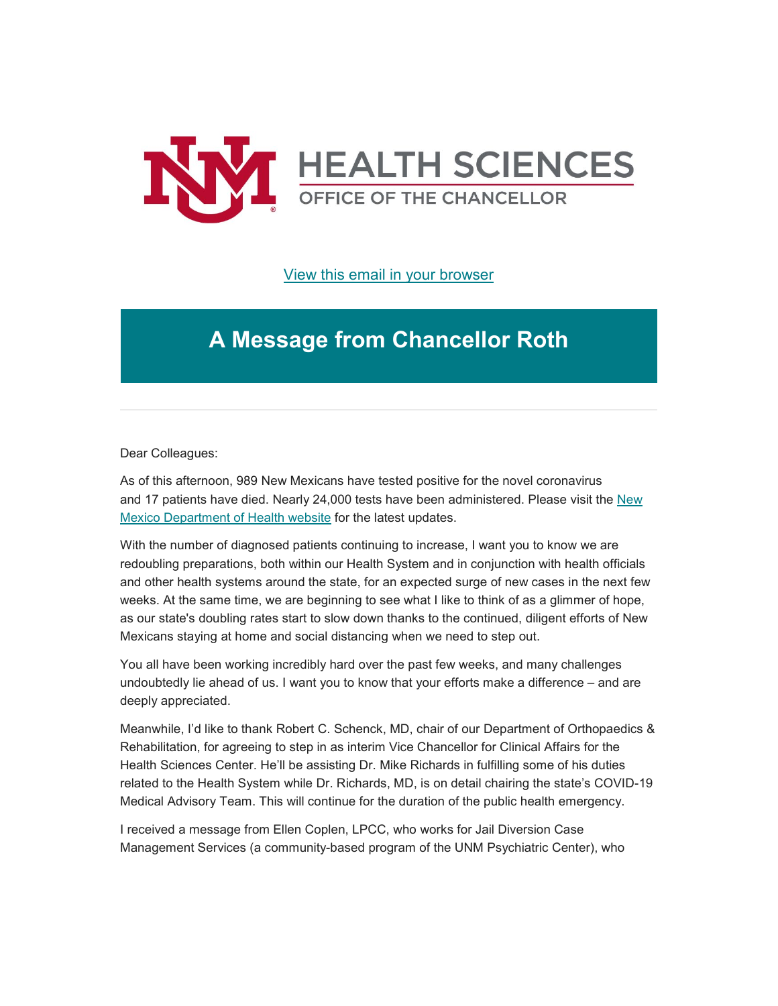

[View this email in your browser](https://mailchi.mp/1444929c562b/message-from-the-chancellor-coronavirus-4378268?e=b4bbfca2c0)

## **A Message from Chancellor Roth**

Dear Colleagues:

As of this afternoon, 989 New Mexicans have tested positive for the novel coronavirus and 17 patients have died. Nearly 24,000 tests have been administered. Please visit the [New](https://unm.us19.list-manage.com/track/click?u=59ce53c1a4dedb490bac78648&id=f606e25a5a&e=b4bbfca2c0)  [Mexico Department of Health website](https://unm.us19.list-manage.com/track/click?u=59ce53c1a4dedb490bac78648&id=f606e25a5a&e=b4bbfca2c0) for the latest updates.

With the number of diagnosed patients continuing to increase, I want you to know we are redoubling preparations, both within our Health System and in conjunction with health officials and other health systems around the state, for an expected surge of new cases in the next few weeks. At the same time, we are beginning to see what I like to think of as a glimmer of hope, as our state's doubling rates start to slow down thanks to the continued, diligent efforts of New Mexicans staying at home and social distancing when we need to step out.

You all have been working incredibly hard over the past few weeks, and many challenges undoubtedly lie ahead of us. I want you to know that your efforts make a difference – and are deeply appreciated.

Meanwhile, I'd like to thank Robert C. Schenck, MD, chair of our Department of Orthopaedics & Rehabilitation, for agreeing to step in as interim Vice Chancellor for Clinical Affairs for the Health Sciences Center. He'll be assisting Dr. Mike Richards in fulfilling some of his duties related to the Health System while Dr. Richards, MD, is on detail chairing the state's COVID-19 Medical Advisory Team. This will continue for the duration of the public health emergency.

I received a message from Ellen Coplen, LPCC, who works for Jail Diversion Case Management Services (a community-based program of the UNM Psychiatric Center), who